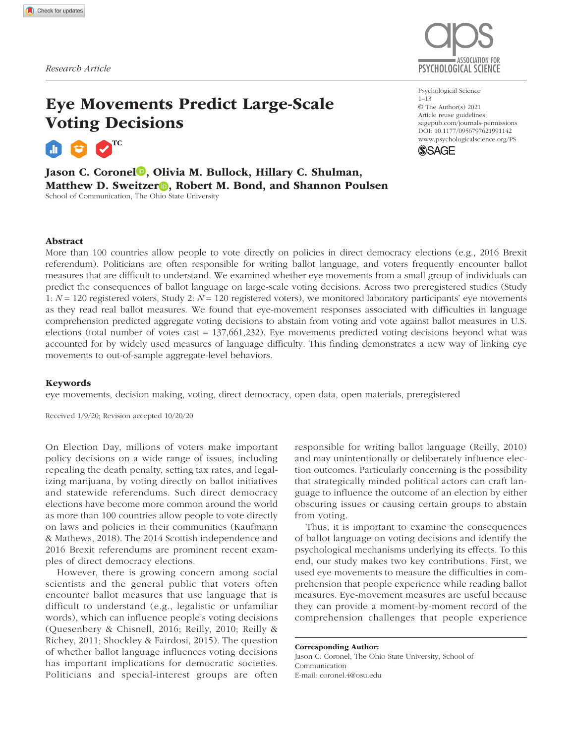

# Eye Movements Predict Large-Scale Voting Decisions

TC

Jason C. Coronel<sup>®</sup>, Olivia M. Bullock, Hillary C. Shulman, Matthew D. Sweitzer **D**, Robert M. Bond, and Shannon Poulsen School of Communication, The Ohio State University

https://doi.org/10.1177/0956797621991142 DOI: 10.1177/0956797621991142 Psychological Science 1–13 © The Author(s) 2021 Article reuse guidelines: [sagepub.com/journals-permissions](https://us.sagepub.com/en-us/journals-permissions) [www.psychologicalscience.org/PS](http://www.psychologicalscience.org/ps)



## Abstract

More than 100 countries allow people to vote directly on policies in direct democracy elections (e.g., 2016 Brexit referendum). Politicians are often responsible for writing ballot language, and voters frequently encounter ballot measures that are difficult to understand. We examined whether eye movements from a small group of individuals can predict the consequences of ballot language on large-scale voting decisions. Across two preregistered studies (Study 1: *N* = 120 registered voters, Study 2: *N* = 120 registered voters), we monitored laboratory participants' eye movements as they read real ballot measures. We found that eye-movement responses associated with difficulties in language comprehension predicted aggregate voting decisions to abstain from voting and vote against ballot measures in U.S. elections (total number of votes cast = 137,661,232). Eye movements predicted voting decisions beyond what was accounted for by widely used measures of language difficulty. This finding demonstrates a new way of linking eye movements to out-of-sample aggregate-level behaviors.

## Keywords

eye movements, decision making, voting, direct democracy, open data, open materials, preregistered

Received 1/9/20; Revision accepted 10/20/20

On Election Day, millions of voters make important policy decisions on a wide range of issues, including repealing the death penalty, setting tax rates, and legalizing marijuana, by voting directly on ballot initiatives and statewide referendums. Such direct democracy elections have become more common around the world as more than 100 countries allow people to vote directly on laws and policies in their communities (Kaufmann & Mathews, 2018). The 2014 Scottish independence and 2016 Brexit referendums are prominent recent examples of direct democracy elections.

However, there is growing concern among social scientists and the general public that voters often encounter ballot measures that use language that is difficult to understand (e.g., legalistic or unfamiliar words), which can influence people's voting decisions (Quesenbery & Chisnell, 2016; Reilly, 2010; Reilly & Richey, 2011; Shockley & Fairdosi, 2015). The question of whether ballot language influences voting decisions has important implications for democratic societies. Politicians and special-interest groups are often responsible for writing ballot language (Reilly, 2010) and may unintentionally or deliberately influence election outcomes. Particularly concerning is the possibility that strategically minded political actors can craft language to influence the outcome of an election by either obscuring issues or causing certain groups to abstain from voting.

Thus, it is important to examine the consequences of ballot language on voting decisions and identify the psychological mechanisms underlying its effects. To this end, our study makes two key contributions. First, we used eye movements to measure the difficulties in comprehension that people experience while reading ballot measures. Eye-movement measures are useful because they can provide a moment-by-moment record of the comprehension challenges that people experience

Corresponding Author: Jason C. Coronel, The Ohio State University, School of Communication E-mail: [coronel.4@osu.edu](mailto:coronel.4@osu.edu)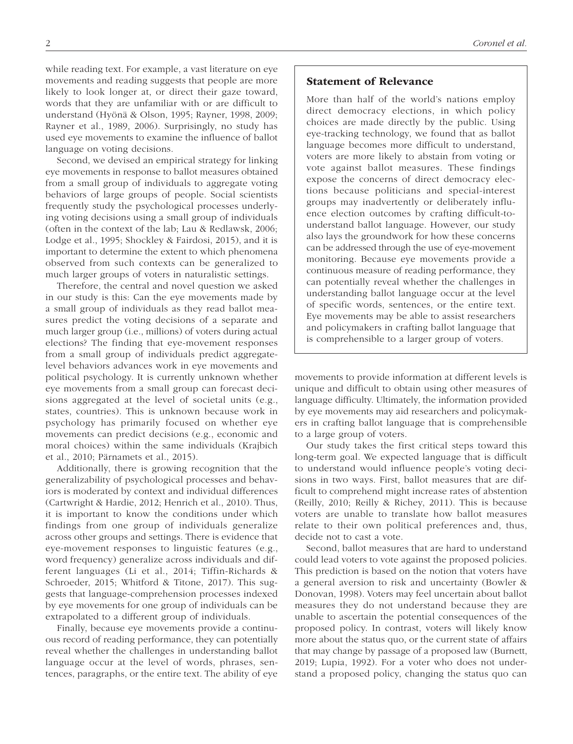while reading text. For example, a vast literature on eye movements and reading suggests that people are more likely to look longer at, or direct their gaze toward, words that they are unfamiliar with or are difficult to understand (Hyönä & Olson, 1995; Rayner, 1998, 2009; Rayner et al., 1989, 2006). Surprisingly, no study has used eye movements to examine the influence of ballot language on voting decisions.

Second, we devised an empirical strategy for linking eye movements in response to ballot measures obtained from a small group of individuals to aggregate voting behaviors of large groups of people. Social scientists frequently study the psychological processes underlying voting decisions using a small group of individuals (often in the context of the lab; Lau & Redlawsk, 2006; Lodge et al., 1995; Shockley & Fairdosi, 2015), and it is important to determine the extent to which phenomena observed from such contexts can be generalized to much larger groups of voters in naturalistic settings.

Therefore, the central and novel question we asked in our study is this: Can the eye movements made by a small group of individuals as they read ballot measures predict the voting decisions of a separate and much larger group (i.e., millions) of voters during actual elections? The finding that eye-movement responses from a small group of individuals predict aggregatelevel behaviors advances work in eye movements and political psychology. It is currently unknown whether eye movements from a small group can forecast decisions aggregated at the level of societal units (e.g., states, countries). This is unknown because work in psychology has primarily focused on whether eye movements can predict decisions (e.g., economic and moral choices) within the same individuals (Krajbich et al., 2010; Pärnamets et al., 2015).

Additionally, there is growing recognition that the generalizability of psychological processes and behaviors is moderated by context and individual differences (Cartwright & Hardie, 2012; Henrich et al., 2010). Thus, it is important to know the conditions under which findings from one group of individuals generalize across other groups and settings. There is evidence that eye-movement responses to linguistic features (e.g., word frequency) generalize across individuals and different languages (Li et al., 2014; Tiffin-Richards & Schroeder, 2015; Whitford & Titone, 2017). This suggests that language-comprehension processes indexed by eye movements for one group of individuals can be extrapolated to a different group of individuals.

Finally, because eye movements provide a continuous record of reading performance, they can potentially reveal whether the challenges in understanding ballot language occur at the level of words, phrases, sentences, paragraphs, or the entire text. The ability of eye

# Statement of Relevance

More than half of the world's nations employ direct democracy elections, in which policy choices are made directly by the public. Using eye-tracking technology, we found that as ballot language becomes more difficult to understand, voters are more likely to abstain from voting or vote against ballot measures. These findings expose the concerns of direct democracy elections because politicians and special-interest groups may inadvertently or deliberately influence election outcomes by crafting difficult-tounderstand ballot language. However, our study also lays the groundwork for how these concerns can be addressed through the use of eye-movement monitoring. Because eye movements provide a continuous measure of reading performance, they can potentially reveal whether the challenges in understanding ballot language occur at the level of specific words, sentences, or the entire text. Eye movements may be able to assist researchers and policymakers in crafting ballot language that is comprehensible to a larger group of voters.

movements to provide information at different levels is unique and difficult to obtain using other measures of language difficulty. Ultimately, the information provided by eye movements may aid researchers and policymakers in crafting ballot language that is comprehensible to a large group of voters.

Our study takes the first critical steps toward this long-term goal. We expected language that is difficult to understand would influence people's voting decisions in two ways. First, ballot measures that are difficult to comprehend might increase rates of abstention (Reilly, 2010; Reilly & Richey, 2011). This is because voters are unable to translate how ballot measures relate to their own political preferences and, thus, decide not to cast a vote.

Second, ballot measures that are hard to understand could lead voters to vote against the proposed policies. This prediction is based on the notion that voters have a general aversion to risk and uncertainty (Bowler & Donovan, 1998). Voters may feel uncertain about ballot measures they do not understand because they are unable to ascertain the potential consequences of the proposed policy. In contrast, voters will likely know more about the status quo, or the current state of affairs that may change by passage of a proposed law (Burnett, 2019; Lupia, 1992). For a voter who does not understand a proposed policy, changing the status quo can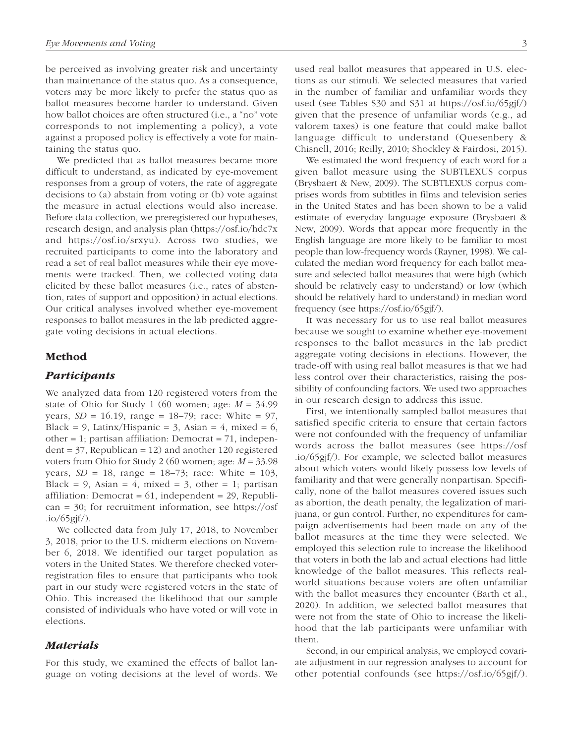be perceived as involving greater risk and uncertainty than maintenance of the status quo. As a consequence, voters may be more likely to prefer the status quo as ballot measures become harder to understand. Given how ballot choices are often structured (i.e., a "no" vote corresponds to not implementing a policy), a vote against a proposed policy is effectively a vote for maintaining the status quo.

We predicted that as ballot measures became more difficult to understand, as indicated by eye-movement responses from a group of voters, the rate of aggregate decisions to (a) abstain from voting or (b) vote against the measure in actual elections would also increase. Before data collection, we preregistered our hypotheses, research design, and analysis plan (<https://osf.io/hdc7x> and [https://osf.io/srxyu\)](https://osf.io/srxyu). Across two studies, we recruited participants to come into the laboratory and read a set of real ballot measures while their eye movements were tracked. Then, we collected voting data elicited by these ballot measures (i.e., rates of abstention, rates of support and opposition) in actual elections. Our critical analyses involved whether eye-movement responses to ballot measures in the lab predicted aggregate voting decisions in actual elections.

## Method

## *Participants*

We analyzed data from 120 registered voters from the state of Ohio for Study 1 (60 women; age:  $M = 34.99$ years,  $SD = 16.19$ , range = 18–79; race: White = 97, Black = 9, Latinx/Hispanic = 3, Asian = 4, mixed = 6, other = 1; partisan affiliation: Democrat = 71, indepen $dent = 37$ , Republican = 12) and another 120 registered voters from Ohio for Study 2 (60 women; age: *M* = 33.98 years,  $SD = 18$ , range = 18–73; race: White = 103, Black = 9, Asian = 4, mixed = 3, other = 1; partisan affiliation: Democrat =  $61$ , independent = 29, Republican = 30; for recruitment information, see [https://osf](https://osf.io/65gjf/)  $.io/65gi\frac{f}{$ .

We collected data from July 17, 2018, to November 3, 2018, prior to the U.S. midterm elections on November 6, 2018. We identified our target population as voters in the United States. We therefore checked voterregistration files to ensure that participants who took part in our study were registered voters in the state of Ohio. This increased the likelihood that our sample consisted of individuals who have voted or will vote in elections.

# *Materials*

For this study, we examined the effects of ballot language on voting decisions at the level of words. We used real ballot measures that appeared in U.S. elections as our stimuli. We selected measures that varied in the number of familiar and unfamiliar words they used (see Tables S30 and S31 at <https://osf.io/65gjf/>) given that the presence of unfamiliar words (e.g., ad valorem taxes) is one feature that could make ballot language difficult to understand (Quesenbery & Chisnell, 2016; Reilly, 2010; Shockley & Fairdosi, 2015).

We estimated the word frequency of each word for a given ballot measure using the SUBTLEXUS corpus (Brysbaert & New, 2009). The SUBTLEXUS corpus comprises words from subtitles in films and television series in the United States and has been shown to be a valid estimate of everyday language exposure (Brysbaert & New, 2009). Words that appear more frequently in the English language are more likely to be familiar to most people than low-frequency words (Rayner, 1998). We calculated the median word frequency for each ballot measure and selected ballot measures that were high (which should be relatively easy to understand) or low (which should be relatively hard to understand) in median word frequency (see <https://osf.io/65gjf/>).

It was necessary for us to use real ballot measures because we sought to examine whether eye-movement responses to the ballot measures in the lab predict aggregate voting decisions in elections. However, the trade-off with using real ballot measures is that we had less control over their characteristics, raising the possibility of confounding factors. We used two approaches in our research design to address this issue.

First, we intentionally sampled ballot measures that satisfied specific criteria to ensure that certain factors were not confounded with the frequency of unfamiliar words across the ballot measures (see [https://osf](https://osf.io/65gjf/) [.io/65gjf/\)](https://osf.io/65gjf/). For example, we selected ballot measures about which voters would likely possess low levels of familiarity and that were generally nonpartisan. Specifically, none of the ballot measures covered issues such as abortion, the death penalty, the legalization of marijuana, or gun control. Further, no expenditures for campaign advertisements had been made on any of the ballot measures at the time they were selected. We employed this selection rule to increase the likelihood that voters in both the lab and actual elections had little knowledge of the ballot measures. This reflects realworld situations because voters are often unfamiliar with the ballot measures they encounter (Barth et al., 2020). In addition, we selected ballot measures that were not from the state of Ohio to increase the likelihood that the lab participants were unfamiliar with them.

Second, in our empirical analysis, we employed covariate adjustment in our regression analyses to account for other potential confounds (see [https://osf.io/65gjf/\)](https://osf.io/65gjf/).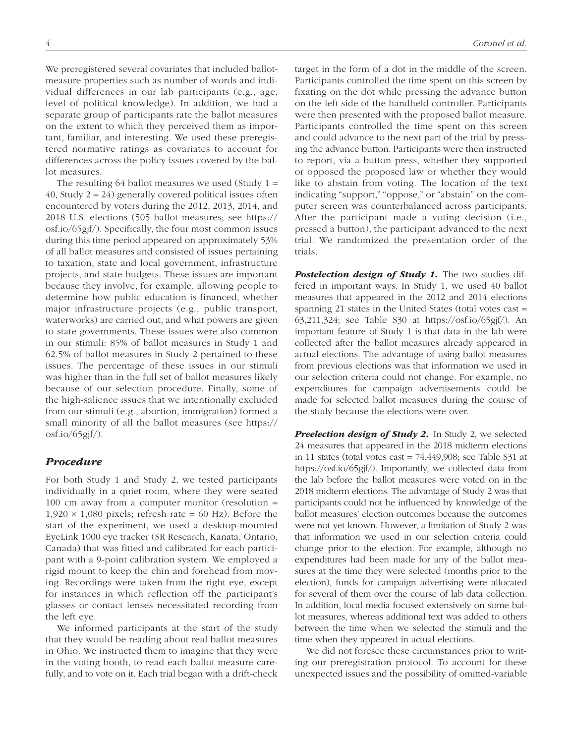We preregistered several covariates that included ballotmeasure properties such as number of words and individual differences in our lab participants (e.g., age, level of political knowledge). In addition, we had a separate group of participants rate the ballot measures on the extent to which they perceived them as important, familiar, and interesting. We used these preregistered normative ratings as covariates to account for differences across the policy issues covered by the ballot measures.

The resulting 64 ballot measures we used (Study  $1 =$ 40, Study  $2 = 24$ ) generally covered political issues often encountered by voters during the 2012, 2013, 2014, and 2018 U.S. elections (505 ballot measures; see [https://](https://osf.io/65gjf/) [osf.io/65gjf/](https://osf.io/65gjf/)). Specifically, the four most common issues during this time period appeared on approximately 53% of all ballot measures and consisted of issues pertaining to taxation, state and local government, infrastructure projects, and state budgets. These issues are important because they involve, for example, allowing people to determine how public education is financed, whether major infrastructure projects (e.g., public transport, waterworks) are carried out, and what powers are given to state governments. These issues were also common in our stimuli: 85% of ballot measures in Study 1 and 62.5% of ballot measures in Study 2 pertained to these issues. The percentage of these issues in our stimuli was higher than in the full set of ballot measures likely because of our selection procedure. Finally, some of the high-salience issues that we intentionally excluded from our stimuli (e.g., abortion, immigration) formed a small minority of all the ballot measures (see [https://](https://osf.io/65gjf/) osf.io/ $(65gf/$ ).

# *Procedure*

For both Study 1 and Study 2, we tested participants individually in a quiet room, where they were seated 100 cm away from a computer monitor (resolution =  $1,920 \times 1,080$  pixels; refresh rate = 60 Hz). Before the start of the experiment, we used a desktop-mounted EyeLink 1000 eye tracker (SR Research, Kanata, Ontario, Canada) that was fitted and calibrated for each participant with a 9-point calibration system. We employed a rigid mount to keep the chin and forehead from moving. Recordings were taken from the right eye, except for instances in which reflection off the participant's glasses or contact lenses necessitated recording from the left eye.

We informed participants at the start of the study that they would be reading about real ballot measures in Ohio. We instructed them to imagine that they were in the voting booth, to read each ballot measure carefully, and to vote on it. Each trial began with a drift-check target in the form of a dot in the middle of the screen. Participants controlled the time spent on this screen by fixating on the dot while pressing the advance button on the left side of the handheld controller. Participants were then presented with the proposed ballot measure. Participants controlled the time spent on this screen and could advance to the next part of the trial by pressing the advance button. Participants were then instructed to report, via a button press, whether they supported or opposed the proposed law or whether they would like to abstain from voting. The location of the text indicating "support," "oppose," or "abstain" on the computer screen was counterbalanced across participants. After the participant made a voting decision (i.e., pressed a button), the participant advanced to the next trial. We randomized the presentation order of the trials.

**Postelection design of Study 1.** The two studies differed in important ways. In Study 1, we used 40 ballot measures that appeared in the 2012 and 2014 elections spanning 21 states in the United States (total votes cast = 63,211,324; see Table S30 at <https://osf.io/65gjf/>). An important feature of Study 1 is that data in the lab were collected after the ballot measures already appeared in actual elections. The advantage of using ballot measures from previous elections was that information we used in our selection criteria could not change. For example, no expenditures for campaign advertisements could be made for selected ballot measures during the course of the study because the elections were over.

**Preelection design of Study 2.** In Study 2, we selected 24 measures that appeared in the 2018 midterm elections in 11 states (total votes cast  $= 74,449,908$ ; see Table S31 at <https://osf.io/65gjf/>). Importantly, we collected data from the lab before the ballot measures were voted on in the 2018 midterm elections. The advantage of Study 2 was that participants could not be influenced by knowledge of the ballot measures' election outcomes because the outcomes were not yet known. However, a limitation of Study 2 was that information we used in our selection criteria could change prior to the election. For example, although no expenditures had been made for any of the ballot measures at the time they were selected (months prior to the election), funds for campaign advertising were allocated for several of them over the course of lab data collection. In addition, local media focused extensively on some ballot measures, whereas additional text was added to others between the time when we selected the stimuli and the time when they appeared in actual elections.

We did not foresee these circumstances prior to writing our preregistration protocol. To account for these unexpected issues and the possibility of omitted-variable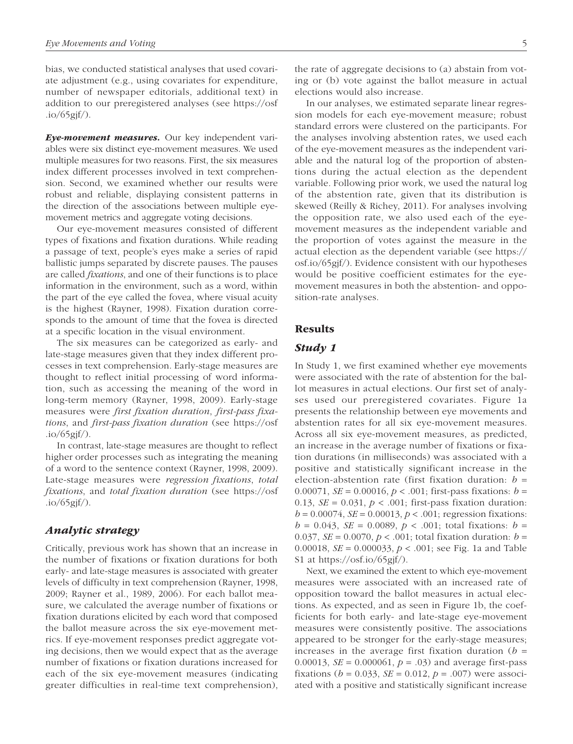bias, we conducted statistical analyses that used covariate adjustment (e.g., using covariates for expenditure, number of newspaper editorials, additional text) in addition to our preregistered analyses (see [https://osf](https://osf.io/65gjf/)  $.io/65gi\frac{f}{$ .

*Eye-movement measures.* Our key independent variables were six distinct eye-movement measures. We used multiple measures for two reasons. First, the six measures index different processes involved in text comprehension. Second, we examined whether our results were robust and reliable, displaying consistent patterns in the direction of the associations between multiple eyemovement metrics and aggregate voting decisions.

Our eye-movement measures consisted of different types of fixations and fixation durations. While reading a passage of text, people's eyes make a series of rapid ballistic jumps separated by discrete pauses. The pauses are called *fixations*, and one of their functions is to place information in the environment, such as a word, within the part of the eye called the fovea, where visual acuity is the highest (Rayner, 1998). Fixation duration corresponds to the amount of time that the fovea is directed at a specific location in the visual environment.

The six measures can be categorized as early- and late-stage measures given that they index different processes in text comprehension. Early-stage measures are thought to reflect initial processing of word information, such as accessing the meaning of the word in long-term memory (Rayner, 1998, 2009). Early-stage measures were *first fixation duration*, *first-pass fixations*, and *first-pass fixation duration* (see [https://osf](https://osf.io/65gjf/)  $.io/65gi\frac{f}{$ .

In contrast, late-stage measures are thought to reflect higher order processes such as integrating the meaning of a word to the sentence context (Rayner, 1998, 2009). Late-stage measures were *regression fixations*, *total fixations*, and *total fixation duration* (see [https://osf](https://osf.io/65gjf/)  $.io/65gi<sub>f</sub>/).$ 

## *Analytic strategy*

Critically, previous work has shown that an increase in the number of fixations or fixation durations for both early- and late-stage measures is associated with greater levels of difficulty in text comprehension (Rayner, 1998, 2009; Rayner et al., 1989, 2006). For each ballot measure, we calculated the average number of fixations or fixation durations elicited by each word that composed the ballot measure across the six eye-movement metrics. If eye-movement responses predict aggregate voting decisions, then we would expect that as the average number of fixations or fixation durations increased for each of the six eye-movement measures (indicating greater difficulties in real-time text comprehension), the rate of aggregate decisions to (a) abstain from voting or (b) vote against the ballot measure in actual elections would also increase.

In our analyses, we estimated separate linear regression models for each eye-movement measure; robust standard errors were clustered on the participants. For the analyses involving abstention rates, we used each of the eye-movement measures as the independent variable and the natural log of the proportion of abstentions during the actual election as the dependent variable. Following prior work, we used the natural log of the abstention rate, given that its distribution is skewed (Reilly & Richey, 2011). For analyses involving the opposition rate, we also used each of the eyemovement measures as the independent variable and the proportion of votes against the measure in the actual election as the dependent variable (see [https://](https://osf.io/65gjf/) [osf.io/65gjf/\)](https://osf.io/65gjf/). Evidence consistent with our hypotheses would be positive coefficient estimates for the eyemovement measures in both the abstention- and opposition-rate analyses.

## Results

# *Study 1*

In Study 1, we first examined whether eye movements were associated with the rate of abstention for the ballot measures in actual elections. Our first set of analyses used our preregistered covariates. Figure 1a presents the relationship between eye movements and abstention rates for all six eye-movement measures. Across all six eye-movement measures, as predicted, an increase in the average number of fixations or fixation durations (in milliseconds) was associated with a positive and statistically significant increase in the election-abstention rate (first fixation duration:  $b =$ 0.00071, *SE* = 0.00016, *p* < .001; first-pass fixations: *b* = 0.13,  $SE = 0.031$ ,  $p < .001$ ; first-pass fixation duration:  $b = 0.00074$ , *SE* = 0.00013,  $p < .001$ ; regression fixations:  $b = 0.043$ , *SE* = 0.0089,  $p < .001$ ; total fixations:  $b =$ 0.037, *SE* = 0.0070, *p* < .001; total fixation duration: *b* = 0.00018, *SE* = 0.000033, *p* < .001; see Fig. 1a and Table S1 at <https://osf.io/65gjf/>).

Next, we examined the extent to which eye-movement measures were associated with an increased rate of opposition toward the ballot measures in actual elections. As expected, and as seen in Figure 1b, the coefficients for both early- and late-stage eye-movement measures were consistently positive. The associations appeared to be stronger for the early-stage measures; increases in the average first fixation duration  $(b =$ 0.00013, *SE* = 0.000061, *p* = .03) and average first-pass fixations ( $b = 0.033$ ,  $SE = 0.012$ ,  $p = .007$ ) were associated with a positive and statistically significant increase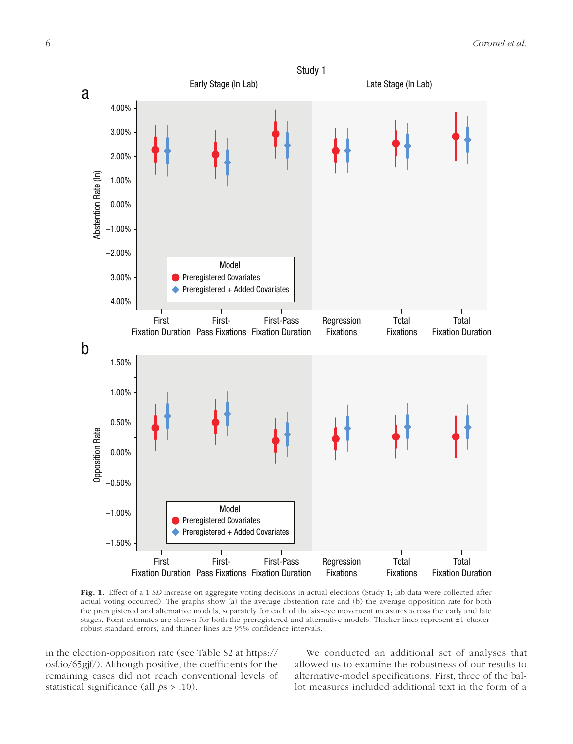

Fig. 1. Effect of a 1-*SD* increase on aggregate voting decisions in actual elections (Study 1; lab data were collected after actual voting occurred). The graphs show (a) the average abstention rate and (b) the average opposition rate for both the preregistered and alternative models, separately for each of the six-eye movement measures across the early and late stages. Point estimates are shown for both the preregistered and alternative models. Thicker lines represent ±1 clusterrobust standard errors, and thinner lines are 95% confidence intervals.

in the election-opposition rate (see Table S2 at [https://](https://osf.io/65gjf/) [osf.io/65gjf/\)](https://osf.io/65gjf/). Although positive, the coefficients for the remaining cases did not reach conventional levels of statistical significance (all *p*s > .10).

We conducted an additional set of analyses that allowed us to examine the robustness of our results to alternative-model specifications. First, three of the ballot measures included additional text in the form of a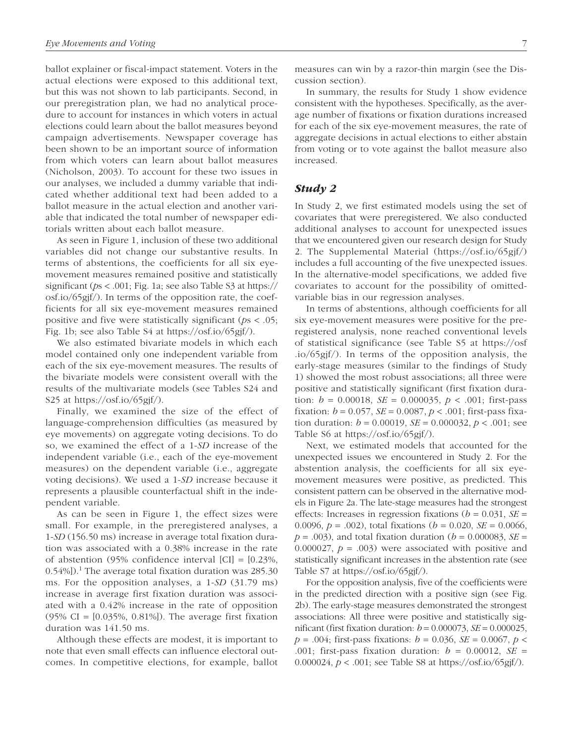ballot explainer or fiscal-impact statement. Voters in the actual elections were exposed to this additional text, but this was not shown to lab participants. Second, in our preregistration plan, we had no analytical procedure to account for instances in which voters in actual elections could learn about the ballot measures beyond campaign advertisements. Newspaper coverage has been shown to be an important source of information from which voters can learn about ballot measures (Nicholson, 2003). To account for these two issues in our analyses, we included a dummy variable that indicated whether additional text had been added to a ballot measure in the actual election and another variable that indicated the total number of newspaper editorials written about each ballot measure.

As seen in Figure 1, inclusion of these two additional variables did not change our substantive results. In terms of abstentions, the coefficients for all six eyemovement measures remained positive and statistically significant (*p*s < .001; Fig. 1a; see also Table S3 at [https://](https://osf.io/65gjf/) [osf.io/65gjf/\)](https://osf.io/65gjf/). In terms of the opposition rate, the coefficients for all six eye-movement measures remained positive and five were statistically significant (*p*s < .05; Fig. 1b; see also Table S4 at [https://osf.io/65gjf/\)](https://osf.io/65gjf/).

We also estimated bivariate models in which each model contained only one independent variable from each of the six eye-movement measures. The results of the bivariate models were consistent overall with the results of the multivariate models (see Tables S24 and S25 at<https://osf.io/65gjf/>).

Finally, we examined the size of the effect of language-comprehension difficulties (as measured by eye movements) on aggregate voting decisions. To do so, we examined the effect of a 1-*SD* increase of the independent variable (i.e., each of the eye-movement measures) on the dependent variable (i.e., aggregate voting decisions). We used a 1-*SD* increase because it represents a plausible counterfactual shift in the independent variable.

As can be seen in Figure 1, the effect sizes were small. For example, in the preregistered analyses, a 1-*SD* (156.50 ms) increase in average total fixation duration was associated with a 0.38% increase in the rate of abstention (95% confidence interval  $|CI| = [0.23\%]$ ,  $(0.54\%)$ .<sup>1</sup> The average total fixation duration was 285.30 ms. For the opposition analyses, a 1-*SD* (31.79 ms) increase in average first fixation duration was associated with a 0.42% increase in the rate of opposition (95% CI = [0.035%, 0.81%]). The average first fixation duration was 141.50 ms.

Although these effects are modest, it is important to note that even small effects can influence electoral outcomes. In competitive elections, for example, ballot measures can win by a razor-thin margin (see the Discussion section).

In summary, the results for Study 1 show evidence consistent with the hypotheses. Specifically, as the average number of fixations or fixation durations increased for each of the six eye-movement measures, the rate of aggregate decisions in actual elections to either abstain from voting or to vote against the ballot measure also increased.

# *Study 2*

In Study 2, we first estimated models using the set of covariates that were preregistered. We also conducted additional analyses to account for unexpected issues that we encountered given our research design for Study 2. The Supplemental Material (<https://osf.io/65gjf/>) includes a full accounting of the five unexpected issues. In the alternative-model specifications, we added five covariates to account for the possibility of omittedvariable bias in our regression analyses.

In terms of abstentions, although coefficients for all six eye-movement measures were positive for the preregistered analysis, none reached conventional levels of statistical significance (see Table S5 at [https://osf](https://osf.io/65gjf/) [.io/65gjf/](https://osf.io/65gjf/)). In terms of the opposition analysis, the early-stage measures (similar to the findings of Study 1) showed the most robust associations; all three were positive and statistically significant (first fixation duration:  $b = 0.00018$ ,  $SE = 0.000035$ ,  $p < .001$ ; first-pass fixation:  $b = 0.057$ ,  $SE = 0.0087$ ,  $p < .001$ ; first-pass fixation duration: *b* = 0.00019, *SE* = 0.000032, *p* < .001; see Table S6 at <https://osf.io/65gjf/>).

Next, we estimated models that accounted for the unexpected issues we encountered in Study 2. For the abstention analysis, the coefficients for all six eyemovement measures were positive, as predicted. This consistent pattern can be observed in the alternative models in Figure 2a. The late-stage measures had the strongest effects: Increases in regression fixations ( $b = 0.031$ , *SE* = 0.0096, *p* = .002), total fixations (*b* = 0.020, *SE* = 0.0066,  $p = .003$ ), and total fixation duration ( $b = 0.000083$ , *SE* = 0.000027,  $p = .003$ ) were associated with positive and statistically significant increases in the abstention rate (see Table S7 at [https://osf.io/65gjf/\)](https://osf.io/65gjf/).

For the opposition analysis, five of the coefficients were in the predicted direction with a positive sign (see Fig. 2b). The early-stage measures demonstrated the strongest associations: All three were positive and statistically significant (first fixation duration:  $b = 0.000073$ ,  $SE = 0.000025$ , *p* = .004; first-pass fixations: *b* = 0.036, *SE* = 0.0067, *p* < .001; first-pass fixation duration: *b* = 0.00012, *SE* = 0.000024, *p* < .001; see Table S8 at [https://osf.io/65gjf/\)](https://osf.io/65gjf/).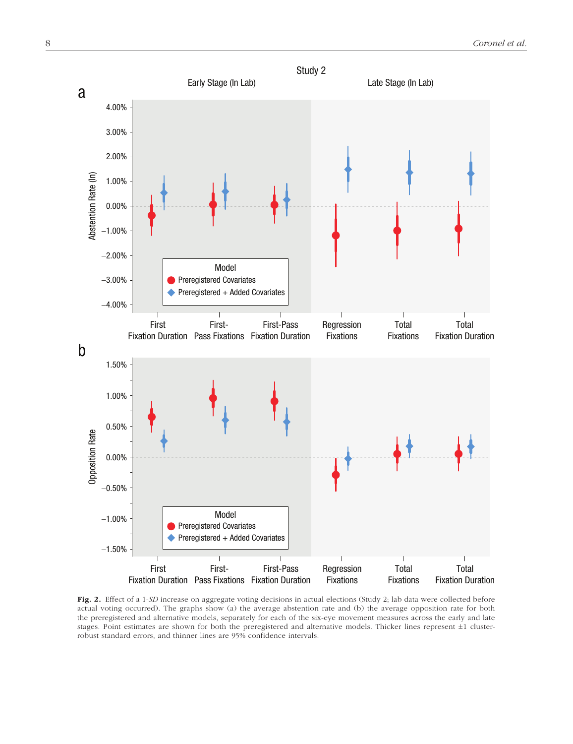

Fig. 2. Effect of a 1-SD increase on aggregate voting decisions in actual elections (Study 2; lab data were collected before actual voting occurred). The graphs show (a) the average abstention rate and (b) the average opposition rate for both the preregistered and alternative models, separately for each of the six-eye movement measures across the early and late stages. Point estimates are shown for both the preregistered and alternative models. Thicker lines represent ±1 clusterrobust standard errors, and thinner lines are 95% confidence intervals.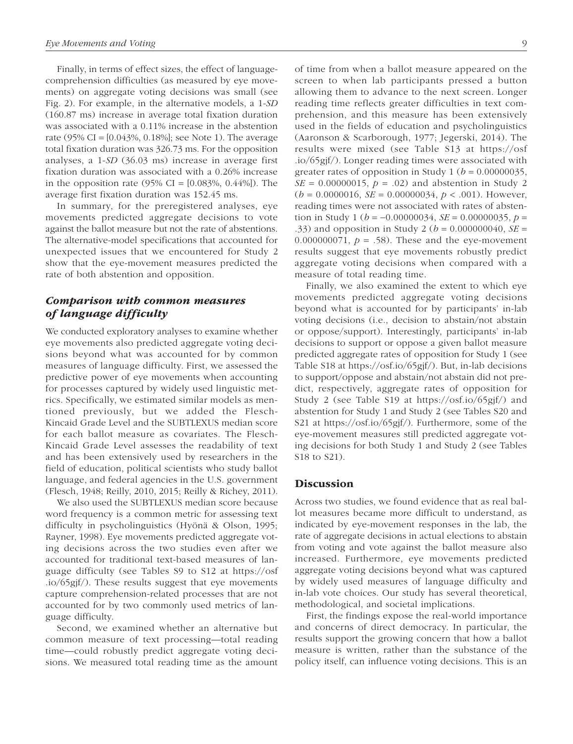Finally, in terms of effect sizes, the effect of languagecomprehension difficulties (as measured by eye movements) on aggregate voting decisions was small (see Fig. 2). For example, in the alternative models, a 1-*SD* (160.87 ms) increase in average total fixation duration was associated with a 0.11% increase in the abstention rate (95% CI =  $[0.043\%, 0.18\%]$ ; see Note 1). The average total fixation duration was 326.73 ms. For the opposition analyses, a 1-*SD* (36.03 ms) increase in average first fixation duration was associated with a 0.26% increase in the opposition rate  $(95\% \text{ CI} = [0.083\%, 0.44\%])$ . The average first fixation duration was 152.45 ms.

In summary, for the preregistered analyses, eye movements predicted aggregate decisions to vote against the ballot measure but not the rate of abstentions. The alternative-model specifications that accounted for unexpected issues that we encountered for Study 2 show that the eye-movement measures predicted the rate of both abstention and opposition.

# *Comparison with common measures of language difficulty*

We conducted exploratory analyses to examine whether eye movements also predicted aggregate voting decisions beyond what was accounted for by common measures of language difficulty. First, we assessed the predictive power of eye movements when accounting for processes captured by widely used linguistic metrics. Specifically, we estimated similar models as mentioned previously, but we added the Flesch-Kincaid Grade Level and the SUBTLEXUS median score for each ballot measure as covariates. The Flesch-Kincaid Grade Level assesses the readability of text and has been extensively used by researchers in the field of education, political scientists who study ballot language, and federal agencies in the U.S. government (Flesch, 1948; Reilly, 2010, 2015; Reilly & Richey, 2011).

We also used the SUBTLEXUS median score because word frequency is a common metric for assessing text difficulty in psycholinguistics (Hyönä & Olson, 1995; Rayner, 1998). Eye movements predicted aggregate voting decisions across the two studies even after we accounted for traditional text-based measures of language difficulty (see Tables S9 to S12 at [https://osf](https://osf.io/65gjf/) [.io/65gjf/](https://osf.io/65gjf/)). These results suggest that eye movements capture comprehension-related processes that are not accounted for by two commonly used metrics of language difficulty.

Second, we examined whether an alternative but common measure of text processing—total reading time—could robustly predict aggregate voting decisions. We measured total reading time as the amount of time from when a ballot measure appeared on the screen to when lab participants pressed a button allowing them to advance to the next screen. Longer reading time reflects greater difficulties in text comprehension, and this measure has been extensively used in the fields of education and psycholinguistics (Aaronson & Scarborough, 1977; Jegerski, 2014). The results were mixed (see Table S13 at [https://osf](https://osf.io/65gjf/) [.io/65gjf/\)](https://osf.io/65gjf/). Longer reading times were associated with greater rates of opposition in Study 1 ( $b = 0.00000035$ , *SE* = 0.00000015,  $p = .02$  and abstention in Study 2  $(b = 0.0000016, SE = 0.00000034, p < .001)$ . However, reading times were not associated with rates of abstention in Study 1 ( $b = -0.00000034$ , *SE* = 0.00000035,  $p =$ .33) and opposition in Study 2 (*b* = 0.000000040, *SE* = 0.000000071,  $p = .58$ ). These and the eye-movement results suggest that eye movements robustly predict aggregate voting decisions when compared with a measure of total reading time.

Finally, we also examined the extent to which eye movements predicted aggregate voting decisions beyond what is accounted for by participants' in-lab voting decisions (i.e., decision to abstain/not abstain or oppose/support). Interestingly, participants' in-lab decisions to support or oppose a given ballot measure predicted aggregate rates of opposition for Study 1 (see Table S18 at [https://osf.io/65gjf/\)](https://osf.io/65gjf/). But, in-lab decisions to support/oppose and abstain/not abstain did not predict, respectively, aggregate rates of opposition for Study 2 (see Table S19 at <https://osf.io/65gjf/>) and abstention for Study 1 and Study 2 (see Tables S20 and S21 at [https://osf.io/65gjf/\)](https://osf.io/65gjf/). Furthermore, some of the eye-movement measures still predicted aggregate voting decisions for both Study 1 and Study 2 (see Tables S18 to S21).

# **Discussion**

Across two studies, we found evidence that as real ballot measures became more difficult to understand, as indicated by eye-movement responses in the lab, the rate of aggregate decisions in actual elections to abstain from voting and vote against the ballot measure also increased. Furthermore, eye movements predicted aggregate voting decisions beyond what was captured by widely used measures of language difficulty and in-lab vote choices. Our study has several theoretical, methodological, and societal implications.

First, the findings expose the real-world importance and concerns of direct democracy. In particular, the results support the growing concern that how a ballot measure is written, rather than the substance of the policy itself, can influence voting decisions. This is an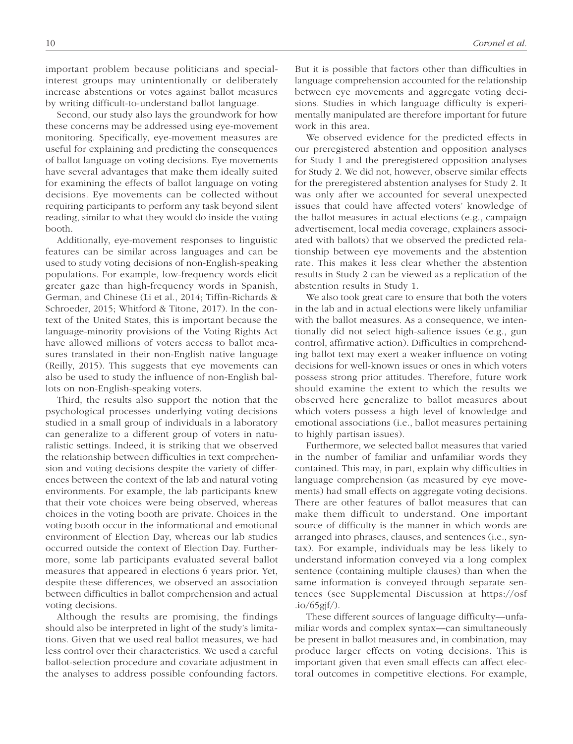important problem because politicians and specialinterest groups may unintentionally or deliberately increase abstentions or votes against ballot measures by writing difficult-to-understand ballot language.

Second, our study also lays the groundwork for how these concerns may be addressed using eye-movement monitoring. Specifically, eye-movement measures are useful for explaining and predicting the consequences of ballot language on voting decisions. Eye movements have several advantages that make them ideally suited for examining the effects of ballot language on voting decisions. Eye movements can be collected without requiring participants to perform any task beyond silent reading, similar to what they would do inside the voting booth.

Additionally, eye-movement responses to linguistic features can be similar across languages and can be used to study voting decisions of non-English-speaking populations. For example, low-frequency words elicit greater gaze than high-frequency words in Spanish, German, and Chinese (Li et al., 2014; Tiffin-Richards & Schroeder, 2015; Whitford & Titone, 2017). In the context of the United States, this is important because the language-minority provisions of the Voting Rights Act have allowed millions of voters access to ballot measures translated in their non-English native language (Reilly, 2015). This suggests that eye movements can also be used to study the influence of non-English ballots on non-English-speaking voters.

Third, the results also support the notion that the psychological processes underlying voting decisions studied in a small group of individuals in a laboratory can generalize to a different group of voters in naturalistic settings. Indeed, it is striking that we observed the relationship between difficulties in text comprehension and voting decisions despite the variety of differences between the context of the lab and natural voting environments. For example, the lab participants knew that their vote choices were being observed, whereas choices in the voting booth are private. Choices in the voting booth occur in the informational and emotional environment of Election Day, whereas our lab studies occurred outside the context of Election Day. Furthermore, some lab participants evaluated several ballot measures that appeared in elections 6 years prior. Yet, despite these differences, we observed an association between difficulties in ballot comprehension and actual voting decisions.

Although the results are promising, the findings should also be interpreted in light of the study's limitations. Given that we used real ballot measures, we had less control over their characteristics. We used a careful ballot-selection procedure and covariate adjustment in the analyses to address possible confounding factors. But it is possible that factors other than difficulties in language comprehension accounted for the relationship between eye movements and aggregate voting decisions. Studies in which language difficulty is experimentally manipulated are therefore important for future work in this area.

We observed evidence for the predicted effects in our preregistered abstention and opposition analyses for Study 1 and the preregistered opposition analyses for Study 2. We did not, however, observe similar effects for the preregistered abstention analyses for Study 2. It was only after we accounted for several unexpected issues that could have affected voters' knowledge of the ballot measures in actual elections (e.g., campaign advertisement, local media coverage, explainers associated with ballots) that we observed the predicted relationship between eye movements and the abstention rate. This makes it less clear whether the abstention results in Study 2 can be viewed as a replication of the abstention results in Study 1.

We also took great care to ensure that both the voters in the lab and in actual elections were likely unfamiliar with the ballot measures. As a consequence, we intentionally did not select high-salience issues (e.g., gun control, affirmative action). Difficulties in comprehending ballot text may exert a weaker influence on voting decisions for well-known issues or ones in which voters possess strong prior attitudes. Therefore, future work should examine the extent to which the results we observed here generalize to ballot measures about which voters possess a high level of knowledge and emotional associations (i.e., ballot measures pertaining to highly partisan issues).

Furthermore, we selected ballot measures that varied in the number of familiar and unfamiliar words they contained. This may, in part, explain why difficulties in language comprehension (as measured by eye movements) had small effects on aggregate voting decisions. There are other features of ballot measures that can make them difficult to understand. One important source of difficulty is the manner in which words are arranged into phrases, clauses, and sentences (i.e., syntax). For example, individuals may be less likely to understand information conveyed via a long complex sentence (containing multiple clauses) than when the same information is conveyed through separate sentences (see Supplemental Discussion at [https://osf](https://osf.io/65gjf/)  $.io/65gi<sub>f</sub>/).$ 

These different sources of language difficulty—unfamiliar words and complex syntax—can simultaneously be present in ballot measures and, in combination, may produce larger effects on voting decisions. This is important given that even small effects can affect electoral outcomes in competitive elections. For example,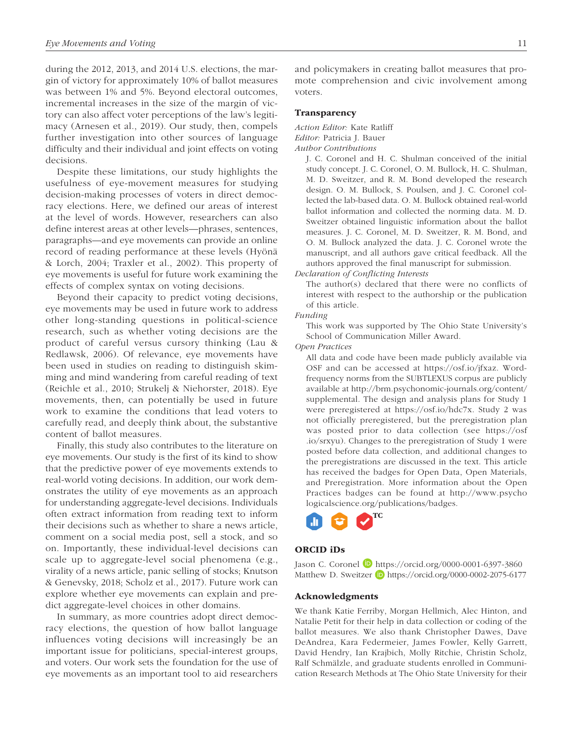during the 2012, 2013, and 2014 U.S. elections, the margin of victory for approximately 10% of ballot measures was between 1% and 5%. Beyond electoral outcomes, incremental increases in the size of the margin of victory can also affect voter perceptions of the law's legitimacy (Arnesen et al., 2019). Our study, then, compels further investigation into other sources of language difficulty and their individual and joint effects on voting decisions.

Despite these limitations, our study highlights the usefulness of eye-movement measures for studying decision-making processes of voters in direct democracy elections. Here, we defined our areas of interest at the level of words. However, researchers can also define interest areas at other levels—phrases, sentences, paragraphs—and eye movements can provide an online record of reading performance at these levels (Hyönä & Lorch, 2004; Traxler et al., 2002). This property of eye movements is useful for future work examining the effects of complex syntax on voting decisions.

Beyond their capacity to predict voting decisions, eye movements may be used in future work to address other long-standing questions in political-science research, such as whether voting decisions are the product of careful versus cursory thinking (Lau & Redlawsk, 2006). Of relevance, eye movements have been used in studies on reading to distinguish skimming and mind wandering from careful reading of text (Reichle et al., 2010; Strukelj & Niehorster, 2018). Eye movements, then, can potentially be used in future work to examine the conditions that lead voters to carefully read, and deeply think about, the substantive content of ballot measures.

Finally, this study also contributes to the literature on eye movements. Our study is the first of its kind to show that the predictive power of eye movements extends to real-world voting decisions. In addition, our work demonstrates the utility of eye movements as an approach for understanding aggregate-level decisions. Individuals often extract information from reading text to inform their decisions such as whether to share a news article, comment on a social media post, sell a stock, and so on. Importantly, these individual-level decisions can scale up to aggregate-level social phenomena (e.g., virality of a news article, panic selling of stocks; Knutson & Genevsky, 2018; Scholz et al., 2017). Future work can explore whether eye movements can explain and predict aggregate-level choices in other domains.

In summary, as more countries adopt direct democracy elections, the question of how ballot language influences voting decisions will increasingly be an important issue for politicians, special-interest groups, and voters. Our work sets the foundation for the use of eye movements as an important tool to aid researchers and policymakers in creating ballot measures that promote comprehension and civic involvement among voters.

## Transparency

*Action Editor:* Kate Ratliff *Editor:* Patricia J. Bauer *Author Contributions*

> J. C. Coronel and H. C. Shulman conceived of the initial study concept. J. C. Coronel, O. M. Bullock, H. C. Shulman, M. D. Sweitzer, and R. M. Bond developed the research design. O. M. Bullock, S. Poulsen, and J. C. Coronel collected the lab-based data. O. M. Bullock obtained real-world ballot information and collected the norming data. M. D. Sweitzer obtained linguistic information about the ballot measures. J. C. Coronel, M. D. Sweitzer, R. M. Bond, and O. M. Bullock analyzed the data. J. C. Coronel wrote the manuscript, and all authors gave critical feedback. All the authors approved the final manuscript for submission.

*Declaration of Conflicting Interests*

The author(s) declared that there were no conflicts of interest with respect to the authorship or the publication of this article.

#### *Funding*

This work was supported by The Ohio State University's School of Communication Miller Award.

*Open Practices*

All data and code have been made publicly available via OSF and can be accessed at [https://osf.io/jfxaz.](https://osf.io/jfxaz) Wordfrequency norms from the SUBTLEXUS corpus are publicly available at [http://brm.psychonomic-journals.org/content/](http://brm.psychonomic-journals.org/content/supplemental) [supplemental.](http://brm.psychonomic-journals.org/content/supplemental) The design and analysis plans for Study 1 were preregistered at <https://osf.io/hdc7x>. Study 2 was not officially preregistered, but the preregistration plan was posted prior to data collection (see [https://osf](https://osf.io/srxyu) [.io/srxyu\)](https://osf.io/srxyu). Changes to the preregistration of Study 1 were posted before data collection, and additional changes to the preregistrations are discussed in the text. This article has received the badges for Open Data, Open Materials, and Preregistration. More information about the Open Practices badges can be found at [http://www.psycho](http://www.psychologicalscience.org/publications/badges) [logicalscience.org/publications/badges.](http://www.psychologicalscience.org/publications/badges)



## ORCID iDs

Jason C. Coronel D <https://orcid.org/0000-0001-6397-3860> Matthew D. Sweitzer D <https://orcid.org/0000-0002-2075-6177>

## Acknowledgments

We thank Katie Ferriby, Morgan Hellmich, Alec Hinton, and Natalie Petit for their help in data collection or coding of the ballot measures. We also thank Christopher Dawes, Dave DeAndrea, Kara Federmeier, James Fowler, Kelly Garrett, David Hendry, Ian Krajbich, Molly Ritchie, Christin Scholz, Ralf Schmälzle, and graduate students enrolled in Communication Research Methods at The Ohio State University for their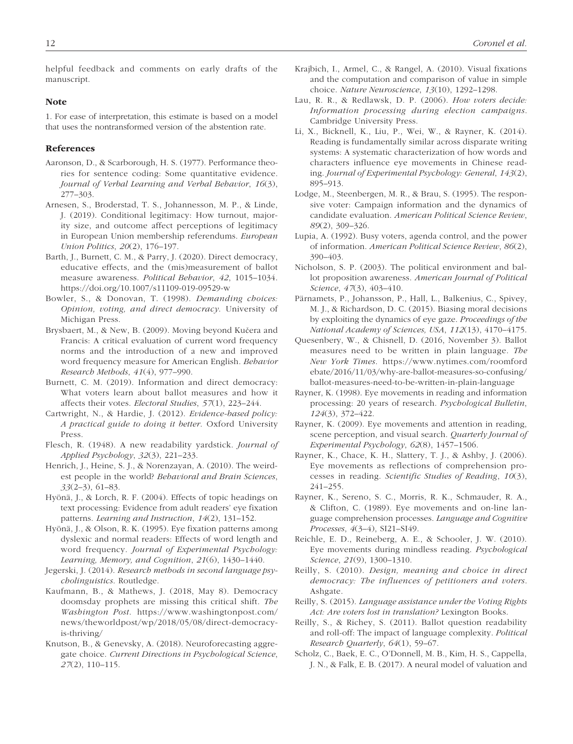helpful feedback and comments on early drafts of the manuscript.

#### Note

1. For ease of interpretation, this estimate is based on a model that uses the nontransformed version of the abstention rate.

## References

- Aaronson, D., & Scarborough, H. S. (1977). Performance theories for sentence coding: Some quantitative evidence. *Journal of Verbal Learning and Verbal Behavior*, *16*(3), 277–303.
- Arnesen, S., Broderstad, T. S., Johannesson, M. P., & Linde, J. (2019). Conditional legitimacy: How turnout, majority size, and outcome affect perceptions of legitimacy in European Union membership referendums. *European Union Politics*, *20*(2), 176–197.
- Barth, J., Burnett, C. M., & Parry, J. (2020). Direct democracy, educative effects, and the (mis)measurement of ballot measure awareness. *Political Behavior*, *42*, 1015–1034. <https://doi.org/10.1007/s11109-019-09529-w>
- Bowler, S., & Donovan, T. (1998). *Demanding choices: Opinion, voting, and direct democracy*. University of Michigan Press.
- Brysbaert, M., & New, B. (2009). Moving beyond Kučera and Francis: A critical evaluation of current word frequency norms and the introduction of a new and improved word frequency measure for American English. *Behavior Research Methods*, *41*(4), 977–990.
- Burnett, C. M. (2019). Information and direct democracy: What voters learn about ballot measures and how it affects their votes. *Electoral Studies*, *57*(1), 223–244.
- Cartwright, N., & Hardie, J. (2012). *Evidence-based policy: A practical guide to doing it better*. Oxford University Press.
- Flesch, R. (1948). A new readability yardstick. *Journal of Applied Psychology*, *32*(3), 221–233.
- Henrich, J., Heine, S. J., & Norenzayan, A. (2010). The weirdest people in the world? *Behavioral and Brain Sciences*, *33*(2–3), 61–83.
- Hyönä, J., & Lorch, R. F. (2004). Effects of topic headings on text processing: Evidence from adult readers' eye fixation patterns. *Learning and Instruction*, *14*(2), 131–152.
- Hyönä, J., & Olson, R. K. (1995). Eye fixation patterns among dyslexic and normal readers: Effects of word length and word frequency. *Journal of Experimental Psychology: Learning, Memory, and Cognition*, *21*(6), 1430–1440.
- Jegerski, J. (2014). *Research methods in second language psycholinguistics*. Routledge.
- Kaufmann, B., & Mathews, J. (2018, May 8). Democracy doomsday prophets are missing this critical shift. *The Washington Post*. [https://www.washingtonpost.com/](https://www.washingtonpost.com/news/theworldpost/wp/2018/05/08/direct-democracy-is-thriving/) [news/theworldpost/wp/2018/05/08/direct-democracy](https://www.washingtonpost.com/news/theworldpost/wp/2018/05/08/direct-democracy-is-thriving/)[is-thriving/](https://www.washingtonpost.com/news/theworldpost/wp/2018/05/08/direct-democracy-is-thriving/)
- Knutson, B., & Genevsky, A. (2018). Neuroforecasting aggregate choice. *Current Directions in Psychological Science*, *27*(2), 110–115.
- Krajbich, I., Armel, C., & Rangel, A. (2010). Visual fixations and the computation and comparison of value in simple choice. *Nature Neuroscience*, *13*(10), 1292–1298.
- Lau, R. R., & Redlawsk, D. P. (2006). *How voters decide: Information processing during election campaigns*. Cambridge University Press.
- Li, X., Bicknell, K., Liu, P., Wei, W., & Rayner, K. (2014). Reading is fundamentally similar across disparate writing systems: A systematic characterization of how words and characters influence eye movements in Chinese reading. *Journal of Experimental Psychology: General*, *143*(2), 895–913.
- Lodge, M., Steenbergen, M. R., & Brau, S. (1995). The responsive voter: Campaign information and the dynamics of candidate evaluation. *American Political Science Review*, *89*(2), 309–326.
- Lupia, A. (1992). Busy voters, agenda control, and the power of information. *American Political Science Review*, *86*(2), 390–403.
- Nicholson, S. P. (2003). The political environment and ballot proposition awareness. *American Journal of Political Science*, *47*(3), 403–410.
- Pärnamets, P., Johansson, P., Hall, L., Balkenius, C., Spivey, M. J., & Richardson, D. C. (2015). Biasing moral decisions by exploiting the dynamics of eye gaze. *Proceedings of the National Academy of Sciences, USA*, *112*(13), 4170–4175.
- Quesenbery, W., & Chisnell, D. (2016, November 3). Ballot measures need to be written in plain language. *The New York Times*. [https://www.nytimes.com/roomford](https://www.nytimes.com/roomfordebate/2016/11/03/why-are-ballot-measures-so-confusing/ballot-measures-need-to-be-written-in-plain-language) [ebate/2016/11/03/why-are-ballot-measures-so-confusing/](https://www.nytimes.com/roomfordebate/2016/11/03/why-are-ballot-measures-so-confusing/ballot-measures-need-to-be-written-in-plain-language) [ballot-measures-need-to-be-written-in-plain-language](https://www.nytimes.com/roomfordebate/2016/11/03/why-are-ballot-measures-so-confusing/ballot-measures-need-to-be-written-in-plain-language)
- Rayner, K. (1998). Eye movements in reading and information processing: 20 years of research. *Psychological Bulletin*, *124*(3), 372–422.
- Rayner, K. (2009). Eye movements and attention in reading, scene perception, and visual search. *Quarterly Journal of Experimental Psychology*, *62*(8), 1457–1506.
- Rayner, K., Chace, K. H., Slattery, T. J., & Ashby, J. (2006). Eye movements as reflections of comprehension processes in reading. *Scientific Studies of Reading*, *10*(3), 241–255.
- Rayner, K., Sereno, S. C., Morris, R. K., Schmauder, R. A., & Clifton, C. (1989). Eye movements and on-line language comprehension processes. *Language and Cognitive Processes*, *4*(3–4), SI21–SI49.
- Reichle, E. D., Reineberg, A. E., & Schooler, J. W. (2010). Eye movements during mindless reading. *Psychological Science*, *21*(9), 1300–1310.
- Reilly, S. (2010). *Design, meaning and choice in direct democracy: The influences of petitioners and voters*. Ashgate.
- Reilly, S. (2015). *Language assistance under the Voting Rights Act: Are voters lost in translation?* Lexington Books.
- Reilly, S., & Richey, S. (2011). Ballot question readability and roll-off: The impact of language complexity. *Political Research Quarterly*, *64*(1), 59–67.
- Scholz, C., Baek, E. C., O'Donnell, M. B., Kim, H. S., Cappella, J. N., & Falk, E. B. (2017). A neural model of valuation and